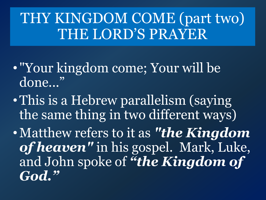### THY KINGDOM COME (part two) THE LORD'S PRAYER

- "Your kingdom come; Your will be done..."
- •This is a Hebrew parallelism (saying the same thing in two different ways)
- •Matthew refers to it as *"the Kingdom of heaven"* in his gospel. Mark, Luke, and John spoke of *"the Kingdom of God."*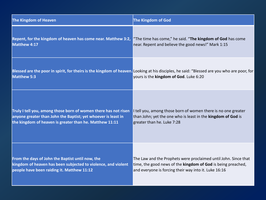| The Kingdom of Heaven                                           | <b>The Kingdom of God</b>                                                                                                                                                            |
|-----------------------------------------------------------------|--------------------------------------------------------------------------------------------------------------------------------------------------------------------------------------|
| Repent, for the kingdom of heaven has come near. Matthew 3:2,   | "The time has come," he said. "The kingdom of God has come                                                                                                                           |
| Matthew 4:17                                                    | near. Repent and believe the good news!" Mark 1:15                                                                                                                                   |
| <b>Matthew 5:3</b>                                              | Blessed are the poor in spirit, for theirs is the kingdom of heaven. Looking at his disciples, he said: "Blessed are you who are poor, for<br>yours is the kingdom of God. Luke 6:20 |
| Truly I tell you, among those born of women there has not risen | I tell you, among those born of women there is no one greater                                                                                                                        |
| anyone greater than John the Baptist; yet whoever is least in   | than John; yet the one who is least in the kingdom of God is                                                                                                                         |
| the kingdom of heaven is greater than he. Matthew 11:11         | greater than he. Luke 7:28                                                                                                                                                           |
| From the days of John the Baptist until now, the                | The Law and the Prophets were proclaimed until John. Since that                                                                                                                      |
| kingdom of heaven has been subjected to violence, and violent   | time, the good news of the kingdom of God is being preached,                                                                                                                         |
| people have been raiding it. Matthew 11:12                      | and everyone is forcing their way into it. Luke 16:16                                                                                                                                |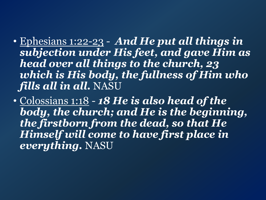- Ephesians 1:22-23 *And He put all things in subjection under His feet, and gave Him as head over all things to the church, 23 which is His body, the fullness of Him who fills all in all.* NASU
- Colossians 1:18 *18 He is also head of the body, the church; and He is the beginning, the firstborn from the dead, so that He Himself will come to have first place in everything.* NASU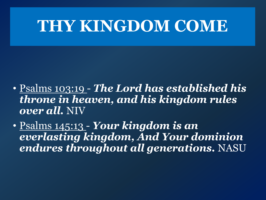### **THY KINGDOM COME**

- Psalms 103:19 *The Lord has established his throne in heaven, and his kingdom rules over all.* NIV
- Psalms 145:13 *Your kingdom is an everlasting kingdom, And Your dominion endures throughout all generations.* NASU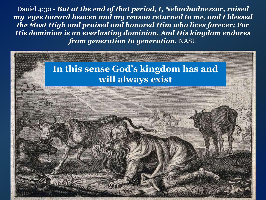Daniel 4:30 - *But at the end of that period, I, Nebuchadnezzar, raised my eyes toward heaven and my reason returned to me, and I blessed the Most High and praised and honored Him who lives forever; For His dominion is an everlasting dominion, And His kingdom endures from generation to generation.* NASU

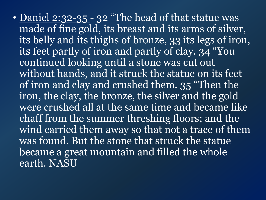• Daniel 2:32-35 - 32 "The head of that statue was made of fine gold, its breast and its arms of silver, its belly and its thighs of bronze, 33 its legs of iron, its feet partly of iron and partly of clay. 34 "You continued looking until a stone was cut out without hands, and it struck the statue on its feet of iron and clay and crushed them. 35 "Then the iron, the clay, the bronze, the silver and the gold were crushed all at the same time and became like chaff from the summer threshing floors; and the wind carried them away so that not a trace of them was found. But the stone that struck the statue became a great mountain and filled the whole earth. NASU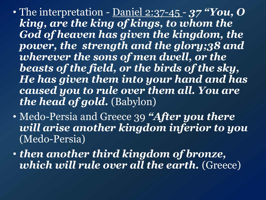- The interpretation Daniel 2:37-45 *37 "You, O king, are the king of kings, to whom the God of heaven has given the kingdom, the power, the strength and the glory;38 and wherever the sons of men dwell, or the beasts of the field, or the birds of the sky, He has given them into your hand and has caused you to rule over them all. You are the head of gold.* (Babylon)
- Medo-Persia and Greece 39 *"After you there will arise another kingdom inferior to you*  (Medo-Persia)
- *then another third kingdom of bronze, which will rule over all the earth.* (Greece)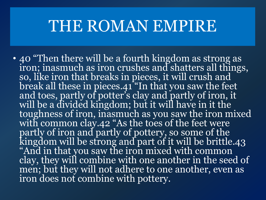### THE ROMAN EMPIRE

• 40 "Then there will be a fourth kingdom as strong as iron; inasmuch as iron crushes and shatters all things, so, like iron that breaks in pieces, it will crush and break all these in pieces.41<sup>"</sup>In that you saw the feet and toes, partly of potter's clay and partly of iron, it will be a divided kingdom; but it will have in it the toughness of iron, inasmuch as you saw the iron mixed with common clay.42 "As the toes of the feet were partly of iron and partly of pottery, so some of the kingdom will be strong and part of it will be brittle.43 "And in that you saw the iron mixed with common clay, they will combine with one another in the seed of men; but they will not adhere to one another, even as iron does not combine with pottery.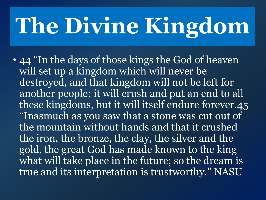# **The Divine Kingdom**

• 44 "In the days of those kings the God of heaven will set up a kingdom which will never be destroyed, and that kingdom will not be left for another people; it will crush and put an end to all these kingdoms, but it will itself endure forever.45 "Inasmuch as you saw that a stone was cut out of the mountain without hands and that it crushed the iron, the bronze, the clay, the silver and the gold, the great God has made known to the king what will take place in the future; so the dream is true and its interpretation is trustworthy." NASU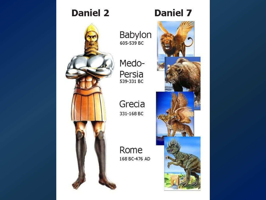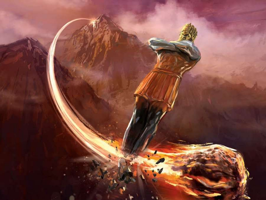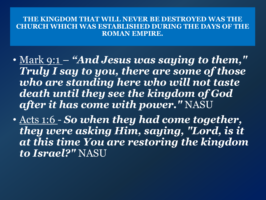**THE KINGDOM THAT WILL NEVER BE DESTROYED WAS THE CHURCH WHICH WAS ESTABLISHED DURING THE DAYS OF THE ROMAN EMPIRE.**

- Mark 9:1 *"And Jesus was saying to them," Truly I say to you, there are some of those who are standing here who will not taste death until they see the kingdom of God after it has come with power."* NASU
- Acts 1:6 *So when they had come together, they were asking Him, saying, "Lord, is it at this time You are restoring the kingdom to Israel?"* NASU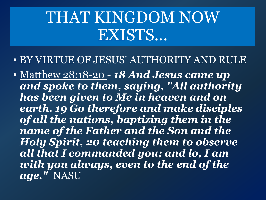## THAT KINGDOM NOW EXISTS...

- BY VIRTUE OF JESUS' AUTHORITY AND RULE
- Matthew 28:18-20 *18 And Jesus came up and spoke to them, saying, "All authority has been given to Me in heaven and on earth. 19 Go therefore and make disciples of all the nations, baptizing them in the name of the Father and the Son and the Holy Spirit, 20 teaching them to observe all that I commanded you; and lo, I am with you always, even to the end of the age."* NASU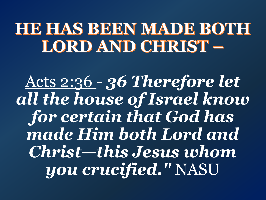# **HE HAS BEEN MADE BOTH** LORD AND CHRIST -

Acts 2:36 - *36 Therefore let all the house of Israel know for certain that God has made Him both Lord and Christ—this Jesus whom you crucified."* NASU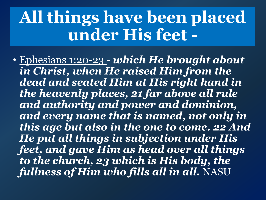# **All things have been placed under His feet -**

• Ephesians 1:20-23 - *which He brought about in Christ, when He raised Him from the dead and seated Him at His right hand in the heavenly places, 21 far above all rule and authority and power and dominion, and every name that is named, not only in this age but also in the one to come. 22 And He put all things in subjection under His feet, and gave Him as head over all things to the church, 23 which is His body, the fullness of Him who fills all in all.* NASU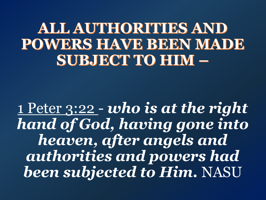### **ALL AUTHORITIES AND POWERS HAVE BEEN MADE SUBJECT TO HIM -**

1 Peter 3:22 - *who is at the right hand of God, having gone into heaven, after angels and authorities and powers had been subjected to Him.* NASU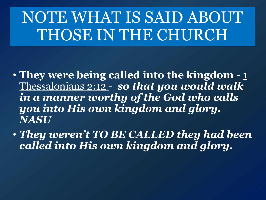# NOTE WHAT IS SAID ABOUT THOSE IN THE CHURCH

- **They were being called into the kingdom**  1 Thessalonians 2:12 - *so that you would walk in a manner worthy of the God who calls you into His own kingdom and glory. NASU*
- *They weren't TO BE CALLED they had been called into His own kingdom and glory.*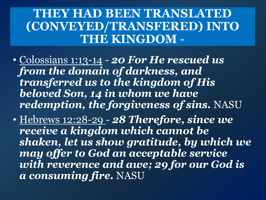#### **THEY HAD BEEN TRANSLATED (CONVEYED/TRANSFERED) INTO THE KINGDOM** -

- Colossians 1:13-14 *20 For He rescued us from the domain of darkness, and transferred us to the kingdom of His beloved Son, 14 in whom we have redemption, the forgiveness of sins.* NASU
- Hebrews 12:28-29 *28 Therefore, since we receive a kingdom which cannot be shaken, let us show gratitude, by which we may offer to God an acceptable service with reverence and awe; 29 for our God is a consuming fire.* NASU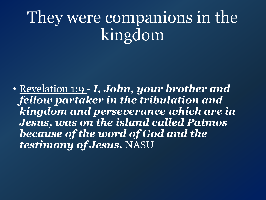# They were companions in the kingdom

• Revelation 1:9 - *I, John, your brother and fellow partaker in the tribulation and kingdom and perseverance which are in Jesus, was on the island called Patmos because of the word of God and the testimony of Jesus.* NASU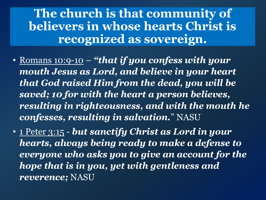**The church is that community of believers in whose hearts Christ is recognized as sovereign.** 

- Romans 10:9-10 *"that if you confess with your mouth Jesus as Lord, and believe in your heart that God raised Him from the dead, you will be saved; 10 for with the heart a person believes, resulting in righteousness, and with the mouth he confesses, resulting in salvation.*" NASU
- 1 Peter 3:15 *but sanctify Christ as Lord in your hearts, always being ready to make a defense to everyone who asks you to give an account for the hope that is in you, yet with gentleness and reverence;* NASU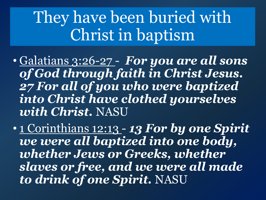# They have been buried with Christ in baptism

- Galatians 3:26-27 *For you are all sons of God through faith in Christ Jesus. 27 For all of you who were baptized into Christ have clothed yourselves with Christ.* NASU
- 1 Corinthians 12:13 *13 For by one Spirit we were all baptized into one body, whether Jews or Greeks, whether slaves or free, and we were all made to drink of one Spirit.* NASU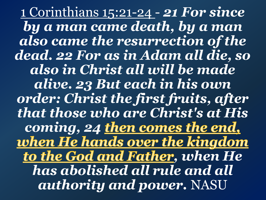1 Corinthians 15:21-24 - *21 For since by a man came death, by a man also came the resurrection of the dead. 22 For as in Adam all die, so also in Christ all will be made alive. 23 But each in his own order: Christ the first fruits, after that those who are Christ's at His coming, 24*  when He hands over the kingdom **to the God and Father, when He** *has abolished all rule and all authority and power.* NASU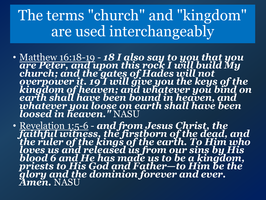### The terms "church" and "kingdom" are used interchangeably

- Matthew 16:18-19 *18 I also say to you that you are Peter, and upon this rock I will build My church; and the gates of Hades will not overpower it. 19 I will give you the keys of the kingdom of heaven; and whatever you bind on earth shall have been bound in heaven, and whatever you loose on earth shall have been loosed in heaven."* NASU
- Revelation 1:5-6 *and from Jesus Christ, the faithful witness, the firstborn of the dead, and the ruler of the kings of the earth. To Him who loves us and released us from our sins by His blood 6 and He has made us to be a kingdom, priests to His God and Father—to Him be the glory and the dominion forever and ever. Amen.* NASU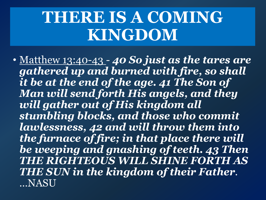# **THERE IS A COMING KINGDOM**

• Matthew 13:40-43 - *40 So just as the tares are gathered up and burned with fire, so shall it be at the end of the age. 41 The Son of Man will send forth His angels, and they will gather out of His kingdom all stumbling blocks, and those who commit lawlessness, 42 and will throw them into the furnace of fire; in that place there will be weeping and gnashing of teeth. 43 Then THE RIGHTEOUS WILL SHINE FORTH AS THE SUN in the kingdom of their Father*. …NASU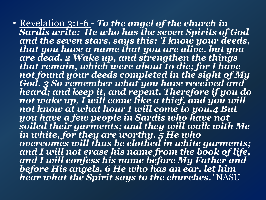• Revelation 3:1-6 - *To the angel of the church in Sardis write: He who has the seven Spirits of God and the seven stars, says this: 'I know your deeds, that you have a name that you are alive, but you are dead. 2 Wake up, and strengthen the things that remain, which were about to die; for I have not found your deeds completed in the sight of My God. 3 So remember what you have received and heard; and keep it, and repent. Therefore if you do not wake up, I will come like a thief, and you will not know at what hour I will come to you.4 But you have a few people in Sardis who have not soiled their garments; and they will walk with Me in white, for they are worthy. 5 He who overcomes will thus be clothed in white garments; and I will not erase his name from the book of life, and I will confess his name before My Father and before His angels. 6 He who has an ear, let him hear what the Spirit says to the churches.'* NASU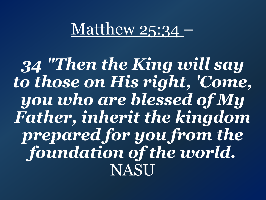### Matthew 25:34 –

*34 "Then the King will say to those on His right, 'Come, you who are blessed of My Father, inherit the kingdom prepared for you from the foundation of the world.*  NASU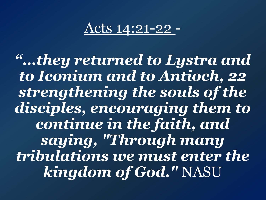### Acts 14:21-22 -

*"…they returned to Lystra and to Iconium and to Antioch, 22 strengthening the souls of the disciples, encouraging them to continue in the faith, and saying, "Through many tribulations we must enter the kingdom of God."* NASU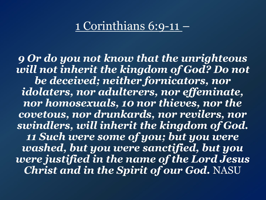#### 1 Corinthians 6:9-11 –

*9 Or do you not know that the unrighteous will not inherit the kingdom of God? Do not be deceived; neither fornicators, nor idolaters, nor adulterers, nor effeminate, nor homosexuals, 10 nor thieves, nor the covetous, nor drunkards, nor revilers, nor swindlers, will inherit the kingdom of God. 11 Such were some of you; but you were washed, but you were sanctified, but you were justified in the name of the Lord Jesus Christ and in the Spirit of our God.* NASU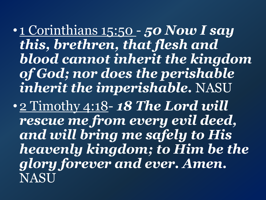- 1 Corinthians 15:50 *50 Now I say this, brethren, that flesh and blood cannot inherit the kingdom of God; nor does the perishable inherit the imperishable.* NASU
- 2 Timothy 4:18- *18 The Lord will rescue me from every evil deed, and will bring me safely to His heavenly kingdom; to Him be the glory forever and ever. Amen.* NASU